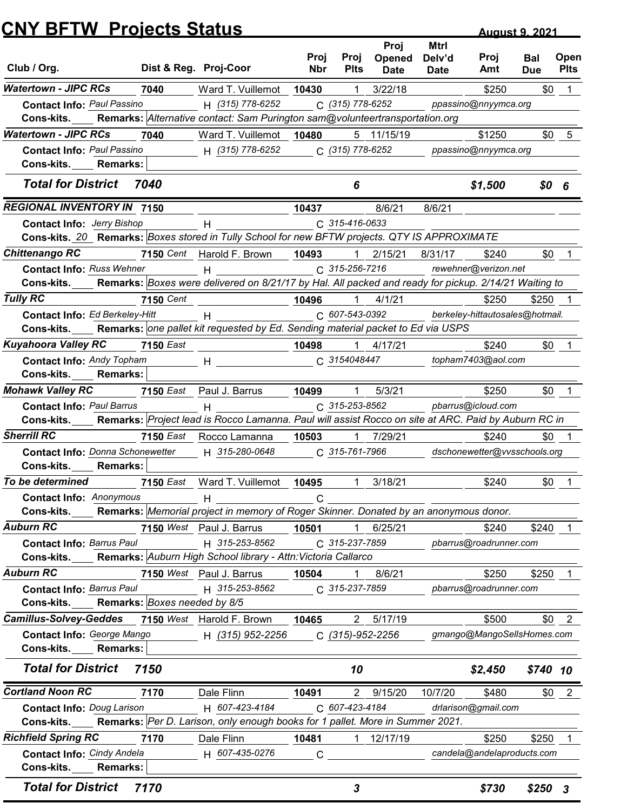|                                                                                                                                    |                  |                                                                                                                                                                                                                                |                    |                                |                                      |                               | <b>August 9, 2021</b>                    |                          |                     |  |
|------------------------------------------------------------------------------------------------------------------------------------|------------------|--------------------------------------------------------------------------------------------------------------------------------------------------------------------------------------------------------------------------------|--------------------|--------------------------------|--------------------------------------|-------------------------------|------------------------------------------|--------------------------|---------------------|--|
| Club / Org.                                                                                                                        |                  | Dist & Reg. Proj-Coor                                                                                                                                                                                                          | Proj<br><b>Nbr</b> | Proj<br><b>Plts</b>            | Proj<br><b>Opened</b><br><b>Date</b> | Mtrl<br>Delv'd<br><b>Date</b> | Proj<br>Amt                              | <b>Bal</b><br><b>Due</b> | Open<br><b>Plts</b> |  |
| <b>Watertown - JIPC RCs</b>                                                                                                        | 7040             | Ward T. Vuillemot                                                                                                                                                                                                              | 10430              | -1                             | 3/22/18                              |                               | \$250                                    | \$0                      |                     |  |
| <b>Contact Info: Paul Passino</b>                                                                                                  |                  | H (315) 778-6252                                                                                                                                                                                                               |                    | C (315) 778-6252               |                                      |                               | ppassino@nnyymca.org                     |                          |                     |  |
| Cons-kits.                                                                                                                         |                  | Remarks: Alternative contact: Sam Purington sam@volunteertransportation.org                                                                                                                                                    |                    |                                |                                      |                               |                                          |                          |                     |  |
| <b>Watertown - JIPC RCs</b>                                                                                                        | 7040             | Ward T. Vuillemot                                                                                                                                                                                                              | 10480              |                                | 5 11/15/19                           |                               | \$1250                                   | \$0                      | 5                   |  |
| <b>Contact Info: Paul Passino</b>                                                                                                  |                  | H (315) 778-6252                                                                                                                                                                                                               |                    | C (315) 778-6252               |                                      |                               | ppassino@nnyymca.org                     |                          |                     |  |
| Cons-kits.<br><b>Remarks:</b>                                                                                                      |                  |                                                                                                                                                                                                                                |                    |                                |                                      |                               |                                          |                          |                     |  |
| <b>Total for District</b>                                                                                                          | 7040             |                                                                                                                                                                                                                                |                    | 6                              |                                      |                               | \$1,500                                  | \$0 <sub>6</sub>         |                     |  |
| <b>REGIONAL INVENTORY IN 7150</b>                                                                                                  |                  |                                                                                                                                                                                                                                | 10437              |                                | 8/6/21                               | 8/6/21                        |                                          |                          |                     |  |
| <b>Contact Info: Jerry Bishop</b>                                                                                                  |                  |                                                                                                                                                                                                                                |                    | C 315-416-0633                 |                                      |                               |                                          |                          |                     |  |
| Cons-kits. 20 Remarks: Boxes stored in Tully School for new BFTW projects. QTY IS APPROXIMATE                                      |                  |                                                                                                                                                                                                                                |                    |                                |                                      |                               |                                          |                          |                     |  |
| <b>Chittenango RC</b>                                                                                                              |                  | 7150 Cent Harold F. Brown                                                                                                                                                                                                      | 10493              |                                | 2/15/21                              | 8/31/17                       | \$240                                    | \$0                      |                     |  |
| <b>Contact Info: Russ Wehner</b>                                                                                                   |                  | $H$ and the set of $H$ and $H$ and $H$ and $H$ and $H$ and $H$ and $H$ and $H$ and $H$ and $H$ and $H$ and $H$ and $H$ and $H$ and $H$ and $H$ and $H$ and $H$ and $H$ and $H$ and $H$ and $H$ and $H$ and $H$ and $H$ and $H$ |                    | C 315-256-7216                 |                                      |                               | rewehner@verizon.net                     |                          |                     |  |
| Cons-kits. Remarks: Boxes were delivered on 8/21/17 by Hal. All packed and ready for pickup. 2/14/21 Waiting to<br><b>Tully RC</b> |                  |                                                                                                                                                                                                                                |                    |                                |                                      |                               |                                          |                          |                     |  |
| Contact Info: Ed Berkeley-Hitt                                                                                                     | <b>7150</b> Cent | $H$ and $H$ and $H$ and $H$ and $H$ and $H$                                                                                                                                                                                    | 10496              | C 607-543-0392                 | $1$ $4/1/21$                         |                               | \$250<br>berkeley-hittautosales@hotmail. | \$250                    |                     |  |
| Cons-kits.                                                                                                                         |                  | Remarks: one pallet kit requested by Ed. Sending material packet to Ed via USPS                                                                                                                                                |                    |                                |                                      |                               |                                          |                          |                     |  |
| <b>Kuyahoora Valley RC</b>                                                                                                         | <b>7150 East</b> |                                                                                                                                                                                                                                | 10498              |                                | 1 4/17/21                            |                               | \$240                                    |                          | $$0 \quad 1$        |  |
| <b>Contact Info: Andy Topham</b>                                                                                                   |                  | $H$ and $H$ and $H$ and $H$ and $H$ and $H$ and $H$ and $H$ and $H$ and $H$ and $H$ and $H$ and $H$ and $H$ and $H$ and $H$ and $H$ and $H$ and $H$ and $H$ and $H$ and $H$ and $H$ and $H$ and $H$ and $H$ and $H$ and $H$ a  |                    | C 3154048447                   |                                      |                               | topham7403@aol.com                       |                          |                     |  |
| Cons-kits.<br><b>Remarks:</b>                                                                                                      |                  |                                                                                                                                                                                                                                |                    |                                |                                      |                               |                                          |                          |                     |  |
| <b>Mohawk Valley RC</b>                                                                                                            |                  | 7150 East Paul J. Barrus                                                                                                                                                                                                       | 10499              | $\overline{1}$                 | 5/3/21                               |                               | \$250                                    |                          | $$0$ 1              |  |
| <b>Contact Info: Paul Barrus</b>                                                                                                   |                  | H                                                                                                                                                                                                                              |                    | C 315-253-8562                 |                                      |                               | pbarrus@icloud.com                       |                          |                     |  |
| Cons-kits. Remarks: Project lead is Rocco Lamanna. Paul will assist Rocco on site at ARC. Paid by Auburn RC in                     |                  |                                                                                                                                                                                                                                |                    |                                |                                      |                               |                                          |                          |                     |  |
| <b>Sherrill RC</b>                                                                                                                 |                  | 7150 East Rocco Lamanna                                                                                                                                                                                                        | 10503              |                                | 1 7/29/21                            |                               | \$240                                    | \$0                      |                     |  |
| Contact Info: Donna Schonewetter                                                                                                   |                  | H 315-280-0648                                                                                                                                                                                                                 |                    | C 315-761-7966                 |                                      |                               | dschonewetter@vvsschools.org             |                          |                     |  |
| Cons-kits. Remarks:                                                                                                                |                  |                                                                                                                                                                                                                                |                    |                                |                                      |                               |                                          |                          |                     |  |
| To be determined                                                                                                                   |                  | 7150 East Ward T. Vuillemot 10495                                                                                                                                                                                              |                    | $\mathbf{1}$                   | 3/18/21                              |                               | \$240                                    |                          | $$0$ 1              |  |
| <b>Contact Info: Anonymous</b>                                                                                                     |                  | H                                                                                                                                                                                                                              | C                  |                                |                                      |                               |                                          |                          |                     |  |
| <b>Cons-kits.</b>                                                                                                                  |                  | Remarks: Memorial project in memory of Roger Skinner. Donated by an anonymous donor.                                                                                                                                           |                    |                                |                                      |                               |                                          |                          |                     |  |
| <b>Auburn RC</b>                                                                                                                   |                  | 7150 West Paul J. Barrus                                                                                                                                                                                                       | 10501              | $\overline{1}$                 | 6/25/21                              |                               | \$240                                    | \$240                    |                     |  |
| <b>Contact Info: Barrus Paul</b><br>Cons-kits.                                                                                     |                  | H 315-253-8562<br>Remarks: Auburn High School library - Attn: Victoria Callarco                                                                                                                                                |                    | C 315-237-7859                 |                                      |                               | pbarrus@roadrunner.com                   |                          |                     |  |
| <b>Auburn RC</b>                                                                                                                   |                  | 7150 West Paul J. Barrus                                                                                                                                                                                                       |                    |                                |                                      |                               |                                          |                          |                     |  |
| <b>Contact Info: Barrus Paul</b>                                                                                                   |                  | H 315-253-8562                                                                                                                                                                                                                 | 10504              | $\mathbf{1}$<br>C 315-237-7859 | 8/6/21                               |                               | \$250<br>pbarrus@roadrunner.com          | \$250                    |                     |  |
| <b>Cons-kits.</b> Remarks: Boxes needed by 8/5                                                                                     |                  |                                                                                                                                                                                                                                |                    |                                |                                      |                               |                                          |                          |                     |  |
| Camillus-Solvey-Geddes 7150 West Harold F. Brown                                                                                   |                  |                                                                                                                                                                                                                                | 10465              |                                | 2 5/17/19                            |                               | \$500                                    |                          | $$0 \t2$            |  |
| Contact Info: George Mango                                                                                                         |                  | H (315) 952-2256                                                                                                                                                                                                               |                    | C (315)-952-2256               |                                      |                               | gmango@MangoSellsHomes.com               |                          |                     |  |
| Cons-kits.<br><b>Remarks:</b>                                                                                                      |                  |                                                                                                                                                                                                                                |                    |                                |                                      |                               |                                          |                          |                     |  |
| <b>Total for District</b>                                                                                                          | 7150             |                                                                                                                                                                                                                                |                    | 10                             |                                      |                               | \$2,450                                  | $$740$ 10                |                     |  |
|                                                                                                                                    |                  |                                                                                                                                                                                                                                |                    |                                |                                      |                               |                                          |                          |                     |  |
| <b>Cortland Noon RC</b>                                                                                                            | 7170             | Dale Flinn                                                                                                                                                                                                                     | 10491              |                                | 2 9/15/20                            | 10/7/20                       | \$480                                    |                          | $$0 \quad 2$        |  |
| <b>Contact Info: Doug Larison</b>                                                                                                  |                  | H 607-423-4184                                                                                                                                                                                                                 |                    | C 607-423-4184                 |                                      |                               | drlarison@gmail.com                      |                          |                     |  |
| Cons-kits. Remarks: Per D. Larison, only enough books for 1 pallet. More in Summer 2021.<br><b>Richfield Spring RC</b>             |                  |                                                                                                                                                                                                                                |                    |                                |                                      |                               |                                          |                          |                     |  |
| Contact Info: Cindy Andela                                                                                                         | 7170             | Dale Flinn                                                                                                                                                                                                                     | 10481              |                                | 12/17/19                             |                               | \$250<br>candela@andelaproducts.com      | \$250                    |                     |  |
|                                                                                                                                    |                  | H 607-435-0276                                                                                                                                                                                                                 | $\mathsf C$        |                                |                                      |                               |                                          |                          |                     |  |
| Cons-kits.<br><b>Remarks:</b>                                                                                                      |                  |                                                                                                                                                                                                                                |                    |                                |                                      |                               |                                          |                          |                     |  |
| <b>Total for District</b>                                                                                                          | 7170             |                                                                                                                                                                                                                                |                    | 3                              |                                      |                               | \$730                                    | $$250$ 3                 |                     |  |